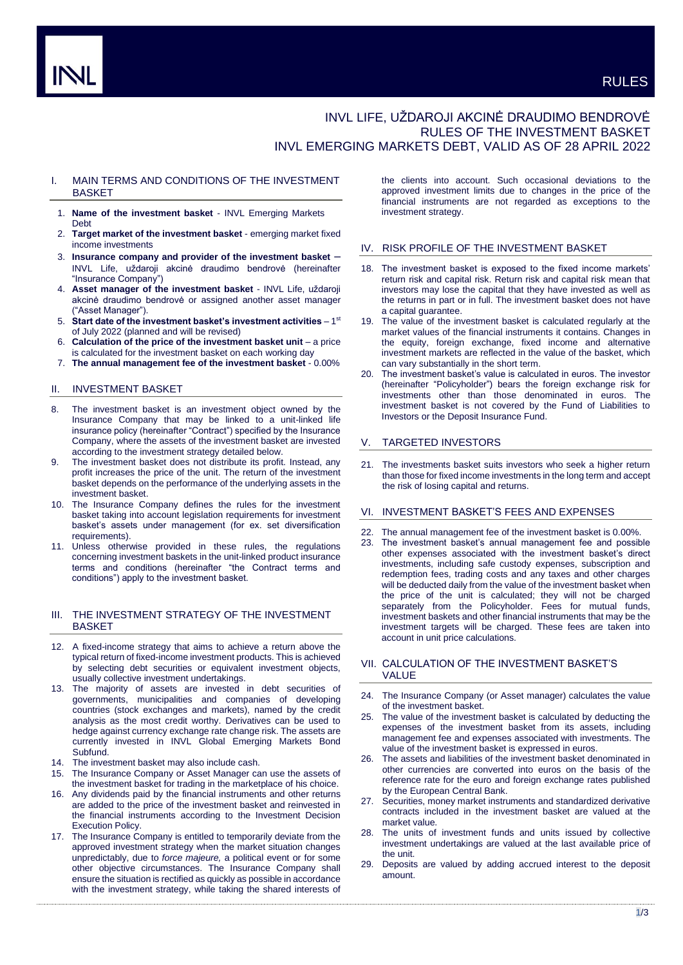# INVL LIFE, UŽDAROJI AKCINĖ DRAUDIMO BENDROVĖ RULES OF THE INVESTMENT BASKET INVL EMERGING MARKETS DEBT, VALID AS OF 28 APRIL 2022

# I. MAIN TERMS AND CONDITIONS OF THE INVESTMENT **BASKET**

- 1. **Name of the investment basket** INVL Emerging Markets Debt
- 2. **Target market of the investment basket** emerging market fixed income investments
- 3. **Insurance company and provider of the investment basket** INVL Life, uždaroji akcinė draudimo bendrovė (hereinafter "Insurance Company")
- 4. **Asset manager of the investment basket** INVL Life, uždaroji akcinė draudimo bendrovė or assigned another asset manager ("Asset Manager").
- 5. Start date of the investment basket's investment activities 1<sup>st</sup> of July 2022 (planned and will be revised)
- 6. **Calculation of the price of the investment basket unit** a price is calculated for the investment basket on each working day
- 7. **The annual management fee of the investment basket** 0.00%

# II. INVESTMENT BASKET

- 8. The investment basket is an investment object owned by the Insurance Company that may be linked to a unit-linked life insurance policy (hereinafter "Contract") specified by the Insurance Company, where the assets of the investment basket are invested according to the investment strategy detailed below.
- 9. The investment basket does not distribute its profit. Instead, any profit increases the price of the unit. The return of the investment basket depends on the performance of the underlying assets in the investment basket.
- 10. The Insurance Company defines the rules for the investment basket taking into account legislation requirements for investment basket's assets under management (for ex. set diversification requirements).
- 11. Unless otherwise provided in these rules, the regulations concerning investment baskets in the unit-linked product insurance terms and conditions (hereinafter "the Contract terms and conditions") apply to the investment basket.

# III. THE INVESTMENT STRATEGY OF THE INVESTMENT **BASKET**

- 12. A fixed-income strategy that aims to achieve a return above the typical return of fixed-income investment products. This is achieved by selecting debt securities or equivalent investment objects, usually collective investment undertakings.
- 13. The majority of assets are invested in debt securities of governments, municipalities and companies of developing countries (stock exchanges and markets), named by the credit analysis as the most credit worthy. Derivatives can be used to hedge against currency exchange rate change risk. The assets are currently invested in INVL Global Emerging Markets Bond Subfund.
- 14. The investment basket may also include cash.
- 15. The Insurance Company or Asset Manager can use the assets of the investment basket for trading in the marketplace of his choice.
- Any dividends paid by the financial instruments and other returns are added to the price of the investment basket and reinvested in the financial instruments according to the Investment Decision Execution Policy.
- 17. The Insurance Company is entitled to temporarily deviate from the approved investment strategy when the market situation changes unpredictably, due to *force majeure,* a political event or for some other objective circumstances. The Insurance Company shall ensure the situation is rectified as quickly as possible in accordance with the investment strategy, while taking the shared interests of

the clients into account. Such occasional deviations to the approved investment limits due to changes in the price of the financial instruments are not regarded as exceptions to the investment strategy.

# IV. RISK PROFILE OF THE INVESTMENT BASKET

- 18. The investment basket is exposed to the fixed income markets' return risk and capital risk. Return risk and capital risk mean that investors may lose the capital that they have invested as well as the returns in part or in full. The investment basket does not have a capital guarantee.
- The value of the investment basket is calculated regularly at the market values of the financial instruments it contains. Changes in the equity, foreign exchange, fixed income and alternative investment markets are reflected in the value of the basket, which can vary substantially in the short term.
- 20. The investment basket's value is calculated in euros. The investor (hereinafter "Policyholder") bears the foreign exchange risk for investments other than those denominated in euros. The investment basket is not covered by the Fund of Liabilities to Investors or the Deposit Insurance Fund.

### V. TARGETED INVESTORS

21. The investments basket suits investors who seek a higher return than those for fixed income investments in the long term and accept the risk of losing capital and returns.

#### VI. INVESTMENT BASKET'S FEES AND EXPENSES

- 22. The annual management fee of the investment basket is 0.00%.
- 23. The investment basket's annual management fee and possible other expenses associated with the investment basket's direct investments, including safe custody expenses, subscription and redemption fees, trading costs and any taxes and other charges will be deducted daily from the value of the investment basket when the price of the unit is calculated; they will not be charged separately from the Policyholder. Fees for mutual funds, investment baskets and other financial instruments that may be the investment targets will be charged. These fees are taken into account in unit price calculations.

# VII. CALCULATION OF THE INVESTMENT BASKET'S VALUE

- 24. The Insurance Company (or Asset manager) calculates the value of the investment basket.
- 25. The value of the investment basket is calculated by deducting the expenses of the investment basket from its assets, including management fee and expenses associated with investments. The value of the investment basket is expressed in euros.
- 26. The assets and liabilities of the investment basket denominated in other currencies are converted into euros on the basis of the reference rate for the euro and foreign exchange rates published by the European Central Bank.
- 27. Securities, money market instruments and standardized derivative contracts included in the investment basket are valued at the market value.
- The units of investment funds and units issued by collective investment undertakings are valued at the last available price of the unit.
- 29. Deposits are valued by adding accrued interest to the deposit amount.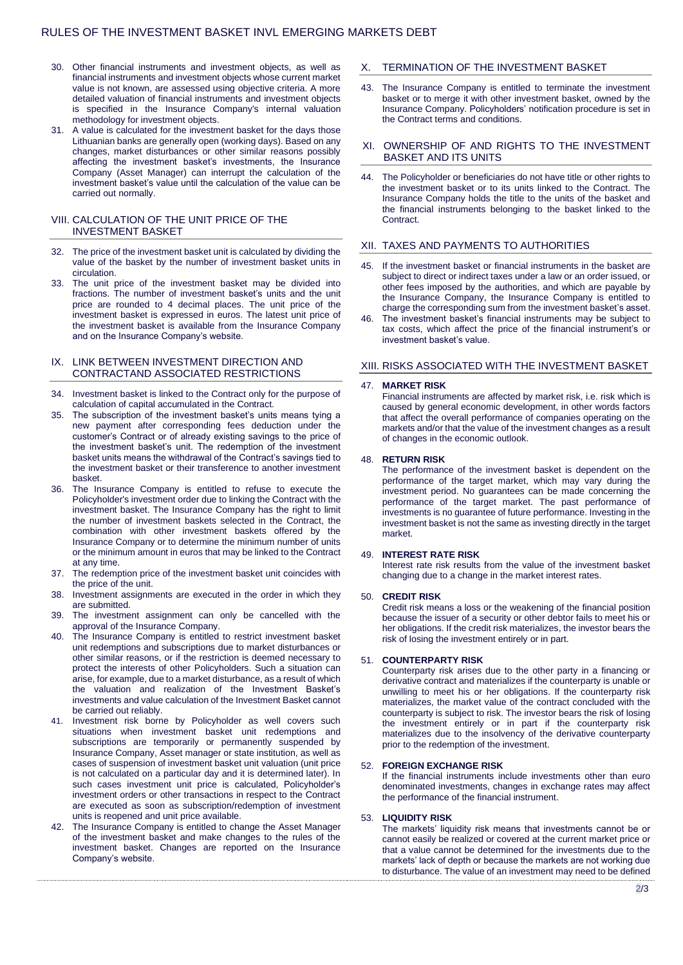# RULES OF THE INVESTMENT BASKET INVL EMERGING MARKETS DEBT

- 30. Other financial instruments and investment objects, as well as financial instruments and investment objects whose current market value is not known, are assessed using objective criteria. A more detailed valuation of financial instruments and investment objects is specified in the Insurance Company's internal valuation methodology for investment objects.
- 31. A value is calculated for the investment basket for the days those Lithuanian banks are generally open (working days). Based on any changes, market disturbances or other similar reasons possibly affecting the investment basket's investments, the Insurance Company (Asset Manager) can interrupt the calculation of the investment basket's value until the calculation of the value can be carried out normally.

# VIII. CALCULATION OF THE UNIT PRICE OF THE INVESTMENT BASKET

- 32. The price of the investment basket unit is calculated by dividing the value of the basket by the number of investment basket units in circulation.
- 33. The unit price of the investment basket may be divided into fractions. The number of investment basket's units and the unit price are rounded to 4 decimal places. The unit price of the investment basket is expressed in euros. The latest unit price of the investment basket is available from the Insurance Company and on the Insurance Company's website.

### IX. LINK BETWEEN INVESTMENT DIRECTION AND CONTRACTAND ASSOCIATED RESTRICTIONS

- 34. Investment basket is linked to the Contract only for the purpose of calculation of capital accumulated in the Contract.
- The subscription of the investment basket's units means tying a new payment after corresponding fees deduction under the customer's Contract or of already existing savings to the price of the investment basket's unit. The redemption of the investment basket units means the withdrawal of the Contract's savings tied to the investment basket or their transference to another investment basket.
- 36. The Insurance Company is entitled to refuse to execute the Policyholder's investment order due to linking the Contract with the investment basket. The Insurance Company has the right to limit the number of investment baskets selected in the Contract, the combination with other investment baskets offered by the Insurance Company or to determine the minimum number of units or the minimum amount in euros that may be linked to the Contract at any time.
- 37. The redemption price of the investment basket unit coincides with the price of the unit.
- 38. Investment assignments are executed in the order in which they are submitted.
- 39. The investment assignment can only be cancelled with the approval of the Insurance Company.
- 40. The Insurance Company is entitled to restrict investment basket unit redemptions and subscriptions due to market disturbances or other similar reasons, or if the restriction is deemed necessary to protect the interests of other Policyholders. Such a situation can arise, for example, due to a market disturbance, as a result of which the valuation and realization of the Investment Basket's investments and value calculation of the Investment Basket cannot be carried out reliably.
- 41. Investment risk borne by Policyholder as well covers such situations when investment basket unit redemptions and subscriptions are temporarily or permanently suspended by Insurance Company, Asset manager or state institution, as well as cases of suspension of investment basket unit valuation (unit price is not calculated on a particular day and it is determined later). In such cases investment unit price is calculated, Policyholder's investment orders or other transactions in respect to the Contract are executed as soon as subscription/redemption of investment units is reopened and unit price available.
- 42. The Insurance Company is entitled to change the Asset Manager of the investment basket and make changes to the rules of the investment basket. Changes are reported on the Insurance Company's website.

# X. TERMINATION OF THE INVESTMENT BASKET

43. The Insurance Company is entitled to terminate the investment basket or to merge it with other investment basket, owned by the Insurance Company. Policyholders' notification procedure is set in the Contract terms and conditions.

### XI. OWNERSHIP OF AND RIGHTS TO THE INVESTMENT BASKET AND ITS UNITS

44. The Policyholder or beneficiaries do not have title or other rights to the investment basket or to its units linked to the Contract. The Insurance Company holds the title to the units of the basket and the financial instruments belonging to the basket linked to the Contract.

# XII. TAXES AND PAYMENTS TO AUTHORITIES

- 45. If the investment basket or financial instruments in the basket are subject to direct or indirect taxes under a law or an order issued, or other fees imposed by the authorities, and which are payable by the Insurance Company, the Insurance Company is entitled to charge the corresponding sum from the investment basket's asset.
- The investment basket's financial instruments may be subject to tax costs, which affect the price of the financial instrument's or investment basket's value.

#### XIII. RISKS ASSOCIATED WITH THE INVESTMENT BASKET

#### 47. **MARKET RISK**

Financial instruments are affected by market risk, i.e. risk which is caused by general economic development, in other words factors that affect the overall performance of companies operating on the markets and/or that the value of the investment changes as a result of changes in the economic outlook.

#### 48. **RETURN RISK**

The performance of the investment basket is dependent on the performance of the target market, which may vary during the investment period. No guarantees can be made concerning the performance of the target market. The past performance of investments is no guarantee of future performance. Investing in the investment basket is not the same as investing directly in the target market.

### 49. **INTEREST RATE RISK**

Interest rate risk results from the value of the investment basket changing due to a change in the market interest rates.

### 50. **CREDIT RISK**

Credit risk means a loss or the weakening of the financial position because the issuer of a security or other debtor fails to meet his or her obligations. If the credit risk materializes, the investor bears the risk of losing the investment entirely or in part.

# 51. **COUNTERPARTY RISK**

Counterparty risk arises due to the other party in a financing or derivative contract and materializes if the counterparty is unable or unwilling to meet his or her obligations. If the counterparty risk materializes, the market value of the contract concluded with the counterparty is subject to risk. The investor bears the risk of losing the investment entirely or in part if the counterparty risk materializes due to the insolvency of the derivative counterparty prior to the redemption of the investment.

#### 52. **FOREIGN EXCHANGE RISK**

If the financial instruments include investments other than euro denominated investments, changes in exchange rates may affect the performance of the financial instrument.

#### 53. **LIQUIDITY RISK**

The markets' liquidity risk means that investments cannot be or cannot easily be realized or covered at the current market price or that a value cannot be determined for the investments due to the markets' lack of depth or because the markets are not working due to disturbance. The value of an investment may need to be defined